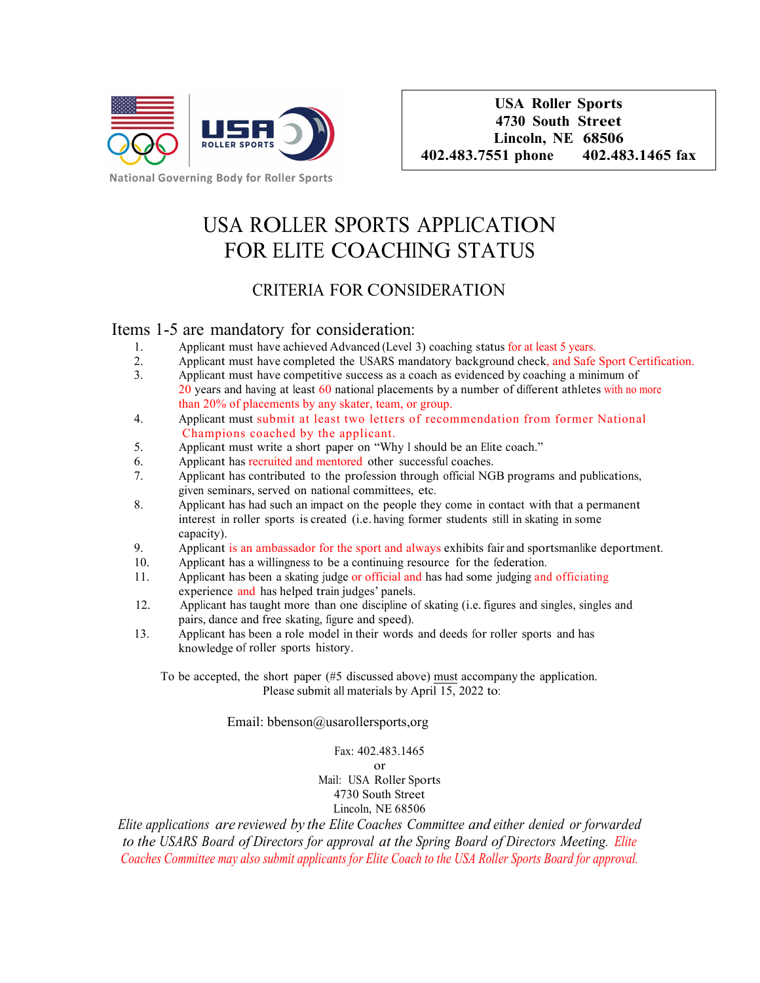

**National Governing Body for Roller Sports** 

## USA ROLLER SPORTS APPLICATION FOR ELITE COACHING STATUS

## CRITERIA FOR CONSIDERATION

## Items 1-5 are mandatory for consideration:

- 1. Applicant must have achieved Advanced (Level 3) coaching status for at least 5 years.<br>2. Applicant must have completed the USARS mandatory background check, and Safe
- Applicant must have completed the USARS mandatory background check, and Safe Sport Certification.
- 3. Applicant must have competitive success as a coach as evidenced by coaching a minimum of 20 years and having at least 60 national placements by a number of different athletes with no more than 20% of placements by any skater, team, or group.
- 4. Applicant must submit at least two letters of recommendation from former National Champions coached by the applicant.
- 5. Applicant must write a short paper on "Why I should be an Elite coach."
- 6. Applicant has recruited and mentored other successful coaches.
- 7. Applicant has contributed to the profession through official NGB programs and publications, given seminars, served on national committees, etc.
- 8. Applicant has had such an impact on the people they come in contact with that a permanent interest in roller sports is created (i.e. having former students still in skating in some capacity).
- 9. Applicant is an ambassador for the sport and always exhibits fair and sportsmanlike deportment.<br>10. Applicant has a willingness to be a continuing resource for the federation.
- Applicant has a willingness to be a continuing resource for the federation.
- 11. Applicant has been a skating judge or official and has had some judging and officiating experience and has helped train judges' panels.
- 12. Applicant has taught more than one discipline of skating (i.e. figures and singles, singles and pairs, dance and free skating, figure and speed).
- 13. Applicant has been a role model in their words and deeds for roller sports and has knowledge of roller sports history.

To be accepted, the short paper (#5 discussed above) must accompany the application. Please submit all materials by April 15, 2022 to:

Email: bbenson@usarollersports,org

Fax: 402.483.1465 or Mail: USA Roller Sports 4730 South Street Lincoln, NE 68506

*Elite applications are reviewed by the Elite Coaches Committee and either denied or forwarded to the USARS Board of Directors for approval at the Spring Board of Directors Meeting. Elite Coaches Committee may also submit applicants for Elite Coach to the USA Roller Sports Board for approval.*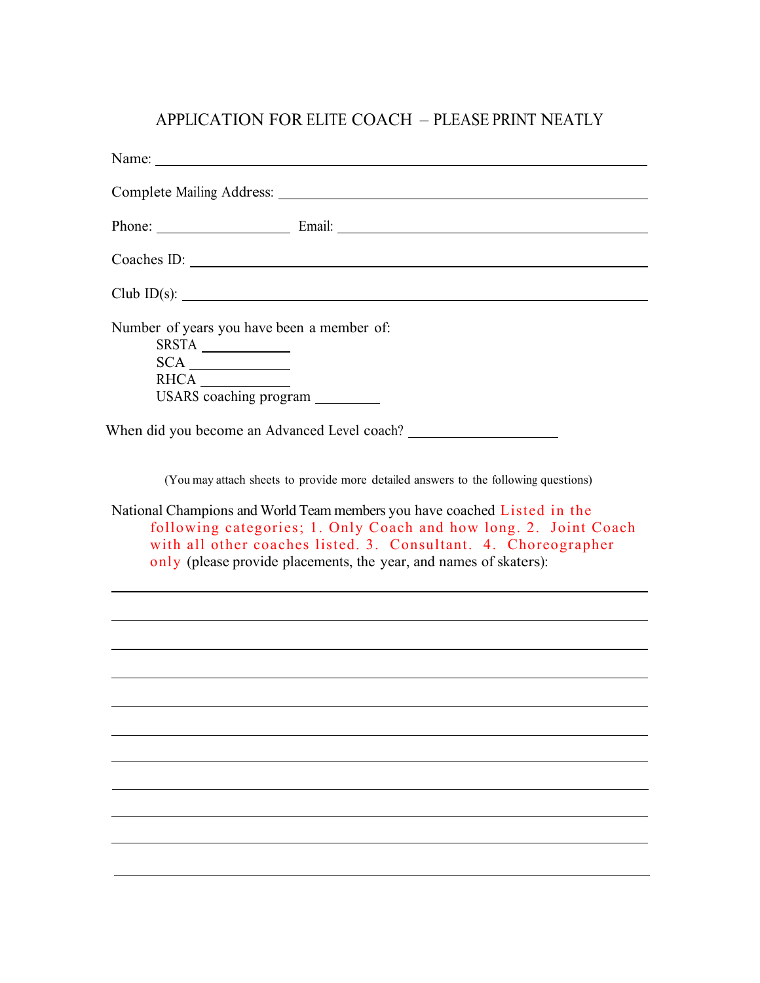## APPLICATION FOR ELITE COACH – PLEASE PRINT NEATLY

| Phone: Email: Email: Email: Email: Email: Email: Email: Email: Email: Email: Email: Email: Email: Email: Email: Email: Email: Email: Email: Email: Email: Email: Email: Email: Email: Email: Email: Email: Email: Email: Email                                                      |
|-------------------------------------------------------------------------------------------------------------------------------------------------------------------------------------------------------------------------------------------------------------------------------------|
|                                                                                                                                                                                                                                                                                     |
|                                                                                                                                                                                                                                                                                     |
| Number of years you have been a member of:<br>SRSTA<br>$RHCA$<br>USARS coaching program                                                                                                                                                                                             |
| When did you become an Advanced Level coach? ___________________________________                                                                                                                                                                                                    |
| (You may attach sheets to provide more detailed answers to the following questions)                                                                                                                                                                                                 |
| National Champions and World Team members you have coached Listed in the<br>following categories; 1. Only Coach and how long. 2. Joint Coach<br>with all other coaches listed. 3. Consultant. 4. Choreographer<br>only (please provide placements, the year, and names of skaters): |
|                                                                                                                                                                                                                                                                                     |
|                                                                                                                                                                                                                                                                                     |
|                                                                                                                                                                                                                                                                                     |
|                                                                                                                                                                                                                                                                                     |
|                                                                                                                                                                                                                                                                                     |
|                                                                                                                                                                                                                                                                                     |

 $\sim$